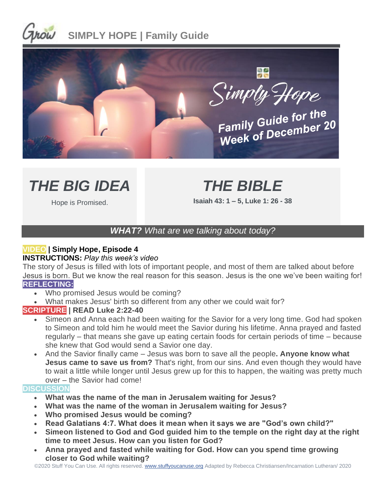



# *THE BIG IDEA*

# *THE BIBLE*

Hope is Promised.

**Isaiah 43: 1 – 5, Luke 1: 26 - 38**

## *WHAT? What are we talking about today?*

## **VIDEO | Simply Hope, Episode 4**

#### **INSTRUCTIONS:** *Play this week's video*

The story of Jesus is filled with lots of important people, and most of them are talked about before Jesus is born. But we know the real reason for this season. Jesus is the one we've been waiting for! **REFLECTING:**

- Who promised Jesus would be coming?
- What makes Jesus' birth so different from any other we could wait for?

### **SCRIPTURE | READ Luke 2:22-40**

- Simeon and Anna each had been waiting for the Savior for a very long time. God had spoken to Simeon and told him he would meet the Savior during his lifetime. Anna prayed and fasted regularly – that means she gave up eating certain foods for certain periods of time – because she knew that God would send a Savior one day.
- And the Savior finally came Jesus was born to save all the people**. Anyone know what Jesus came to save us from?** That's right, from our sins. And even though they would have to wait a little while longer until Jesus grew up for this to happen, the waiting was pretty much over – the Savior had come!

#### **DISCUSSION**

- **What was the name of the man in Jerusalem waiting for Jesus?**
- **What was the name of the woman in Jerusalem waiting for Jesus?**
- **Who promised Jesus would be coming?**
- **Read Galatians 4:7. What does it mean when it says we are "God's own child?"**
- **Simeon listened to God and God guided him to the temple on the right day at the right time to meet Jesus. How can you listen for God?**
- **Anna prayed and fasted while waiting for God. How can you spend time growing closer to God while waiting?**

©2020 Stuff You Can Use. All rights reserved. [www.stuffyoucanuse.org](http://www.stuffyoucanuse.org/) Adapted by Rebecca Christiansen/Incarnation Lutheran/ 2020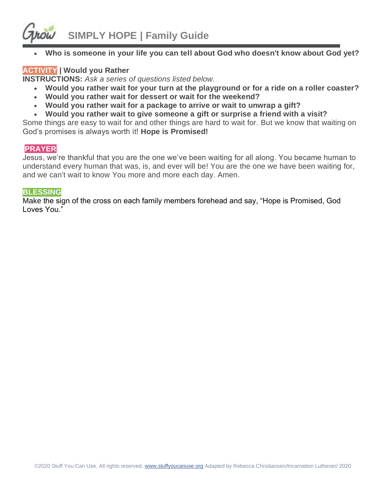

• **Who is someone in your life you can tell about God who doesn't know about God yet?**

### **ACTIVITY | Would you Rather**

**INSTRUCTIONS:** *Ask a series of questions listed below.* 

- **Would you rather wait for your turn at the playground or for a ride on a roller coaster?**
- **Would you rather wait for dessert or wait for the weekend?**
- **Would you rather wait for a package to arrive or wait to unwrap a gift?**
- **Would you rather wait to give someone a gift or surprise a friend with a visit?**

Some things are easy to wait for and other things are hard to wait for. But we know that waiting on God's promises is always worth it! **Hope is Promised!**

#### **PRAYER**

Jesus, we're thankful that you are the one we've been waiting for all along. You became human to understand every human that was, is, and ever will be! You are the one we have been waiting for, and we can't wait to know You more and more each day. Amen.

#### **BLESSING**

Make the sign of the cross on each family members forehead and say, "Hope is Promised, God Loves You."